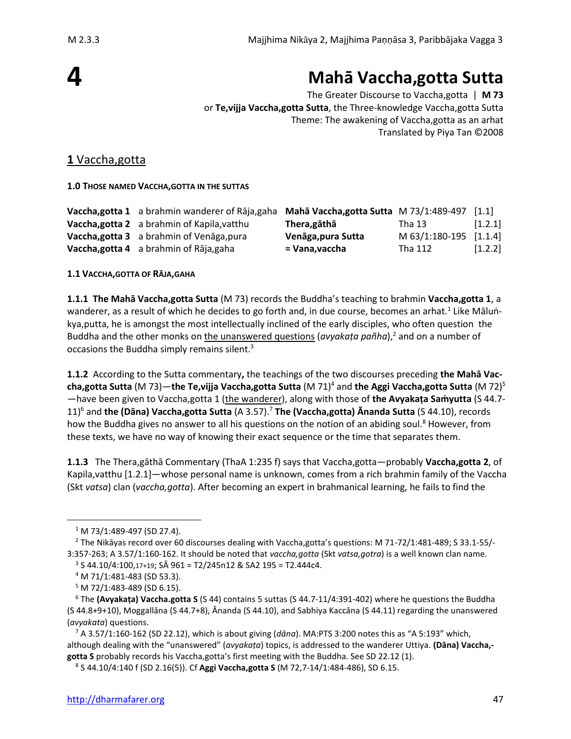# **4**

## **Mahā Vaccha,gotta Sutta**

The Greater Discourse to Vaccha,gotta | **M 73** or **Te,vijja Vaccha,gotta Sutta**, the Three-knowledge Vaccha,gotta Sutta Theme: The awakening of Vaccha,gotta as an arhat Translated by Piya Tan ©2008

## **1** Vaccha,gotta

**1.0 THOSE NAMED VACCHA,GOTTA IN THE SUTTAS**

| Vaccha, gotta 1 a brahmin wanderer of Rāja, gaha Mahā Vaccha, gotta Sutta M 73/1:489-497 |                    |                        | $\left[1.1\right]$ |
|------------------------------------------------------------------------------------------|--------------------|------------------------|--------------------|
| Vaccha, gotta 2 a brahmin of Kapila, vatthu                                              | Thera,gāthā        | Tha 13                 | [1.2.1]            |
| Vaccha, gotta 3 a brahmin of Venaga, pura                                                | Venāga, pura Sutta | M 63/1:180-195 [1.1.4] |                    |
| Vaccha, gotta 4 a brahmin of Rāja, gaha                                                  | = Vana,vaccha      | Tha 112                | [1.2.2]            |

**1.1 VACCHA,GOTTA OF RĀJA,GAHA** 

**1.1.1 The Mahā Vaccha,gotta Sutta** (M 73) records the Buddha's teaching to brahmin **Vaccha,gotta 1**, a wanderer, as a result of which he decides to go forth and, in due course, becomes an arhat.<sup>1</sup> Like Māluṅkya,putta, he is amongst the most intellectually inclined of the early disciples, who often question the Buddha and the other monks on the unanswered questions (*avyakaṭa pañha*),<sup>2</sup> and on a number of occasions the Buddha simply remains silent.<sup>3</sup>

**1.1.2** According to the Sutta commentary**,** the teachings of the two discourses preceding **the Mahā Vaccha,gotta Sutta** (M 73)—**the Te,vijja Vaccha,gotta Sutta** (M 71)<sup>4</sup> and **the Aggi Vaccha,gotta Sutta** (M 72)<sup>5</sup> —have been given to Vaccha,gotta 1 (the wanderer), along with those of **the Avyakaṭa Saṁyutta** (S 44.7- 11)<sup>6</sup> and **the (Dāna) Vaccha,gotta Sutta** (A 3.57).<sup>7</sup> **The (Vaccha,gotta) Ānanda Sutta** (S 44.10), records how the Buddha gives no answer to all his questions on the notion of an abiding soul.<sup>8</sup> However, from these texts, we have no way of knowing their exact sequence or the time that separates them.

**1.1.3** The Thera,gāthā Commentary (ThaA 1:235 f) says that Vaccha,gotta—probably **Vaccha,gotta 2**, of Kapila,vatthu [1.2.1]—whose personal name is unknown, comes from a rich brahmin family of the Vaccha (Skt *vatsa*) clan (*vaccha,gotta*). After becoming an expert in brahmanical learning, he fails to find the

<sup>1</sup> M 73/1:489-497 (SD 27.4).

<sup>2</sup> The Nikāyas record over 60 discourses dealing with Vaccha,gotta's questions: M 71-72/1:481-489; S 33.1-55/- 3:357-263; A 3.57/1:160-162. It should be noted that *vaccha,gotta* (Skt *vatsa,gotra*) is a well known clan name.  $3$  S 44.10/4:100,17+19; SĀ 961 = T2/245n12 & SA2 195 = T2.444c4.

<sup>4</sup> M 71/1:481-483 (SD 53.3).

 $5$  M 72/1:483-489 (SD 6.15).

<sup>6</sup> The **(Avyakaṭa) Vaccha.gotta S** (S 44) contains 5 suttas (S 44.7-11/4:391-402) where he questions the Buddha (S 44.8+9+10), Moggallāna (S 44.7+8), Ānanda (S 44.10), and Sabhiya Kaccāna (S 44.11) regarding the unanswered (*avyakata*) questions.

<sup>7</sup> A 3.57/1:160-162 (SD 22.12), which is about giving (*dāna*). MA:PTS 3:200 notes this as "A 5:193" which, although dealing with the "unanswered" (*avyakaṭa*) topics, is addressed to the wanderer Uttiya. **(Dāna) Vaccha, gotta S** probably records his Vaccha,gotta's first meeting with the Buddha. See SD 22.12 (1).

<sup>8</sup> S 44.10/4:140 f (SD 2.16(5)). Cf **Aggi Vaccha,gotta S** (M 72,7-14/1:484-486), SD 6.15.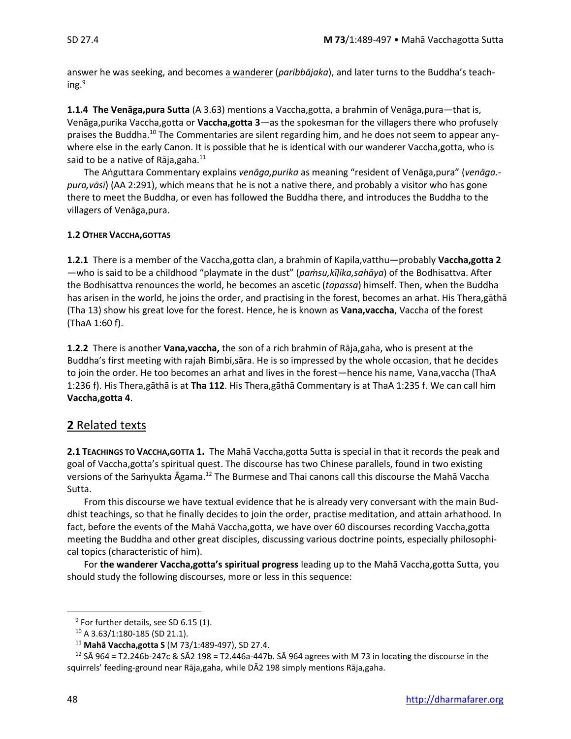answer he was seeking, and becomes a wanderer (*paribbājaka*), and later turns to the Buddha's teaching.<sup>9</sup>

**1.1.4 The Venāga,pura Sutta** (A 3.63) mentions a Vaccha,gotta, a brahmin of Venāga,pura—that is, Venāga,purika Vaccha,gotta or **Vaccha,gotta 3**—as the spokesman for the villagers there who profusely praises the Buddha.<sup>10</sup> The Commentaries are silent regarding him, and he does not seem to appear anywhere else in the early Canon. It is possible that he is identical with our wanderer Vaccha,gotta, who is said to be a native of Rāja, gaha. $^{11}$ 

The Aṅguttara Commentary explains *venāga,purika* as meaning "resident of Venāga,pura" (*venāga. pura,vāsī*) (AA 2:291), which means that he is not a native there, and probably a visitor who has gone there to meet the Buddha, or even has followed the Buddha there, and introduces the Buddha to the villagers of Venāga,pura.

#### **1.2 OTHER VACCHA,GOTTAS**

**1.2.1** There is a member of the Vaccha,gotta clan, a brahmin of Kapila,vatthu—probably **Vaccha,gotta 2** —who is said to be a childhood "playmate in the dust" (*paṁsu,kīḷika,sahāya*) of the Bodhisattva. After the Bodhisattva renounces the world, he becomes an ascetic (*tapassa*) himself. Then, when the Buddha has arisen in the world, he joins the order, and practising in the forest, becomes an arhat. His Thera,gāthā (Tha 13) show his great love for the forest. Hence, he is known as **Vana,vaccha**, Vaccha of the forest (ThaA 1:60 f).

**1.2.2** There is another **Vana,vaccha,** the son of a rich brahmin of Rāja,gaha, who is present at the Buddha's first meeting with rajah Bimbi,sāra. He is so impressed by the whole occasion, that he decides to join the order. He too becomes an arhat and lives in the forest—hence his name, Vana,vaccha (ThaA 1:236 f). His Thera,gāthā is at **Tha 112**. His Thera,gāthā Commentary is at ThaA 1:235 f. We can call him **Vaccha,gotta 4**.

## **2** Related texts

**2.1 TEACHINGS TO VACCHA,GOTTA 1.** The Mahā Vaccha,gotta Sutta is special in that it records the peak and goal of Vaccha,gotta's spiritual quest. The discourse has two Chinese parallels, found in two existing versions of the Samyukta Āgama.<sup>12</sup> The Burmese and Thai canons call this discourse the Mahā Vaccha Sutta.

From this discourse we have textual evidence that he is already very conversant with the main Buddhist teachings, so that he finally decides to join the order, practise meditation, and attain arhathood. In fact, before the events of the Mahā Vaccha,gotta, we have over 60 discourses recording Vaccha,gotta meeting the Buddha and other great disciples, discussing various doctrine points, especially philosophical topics (characteristic of him).

For **the wanderer Vaccha,gotta's spiritual progress** leading up to the Mahā Vaccha,gotta Sutta, you should study the following discourses, more or less in this sequence:

<sup>&</sup>lt;sup>9</sup> For further details, see SD 6.15 (1).

<sup>10</sup> A 3.63/1:180-185 (SD 21.1).

<sup>11</sup> **Mahā Vaccha,gotta S** (M 73/1:489-497), SD 27.4.

<sup>&</sup>lt;sup>12</sup> SĀ 964 = T2.246b-247c & SĀ2 198 = T2.446a-447b. SĀ 964 agrees with M 73 in locating the discourse in the squirrels' feeding-ground near Rāja,gaha, while DĀ2 198 simply mentions Rāja,gaha.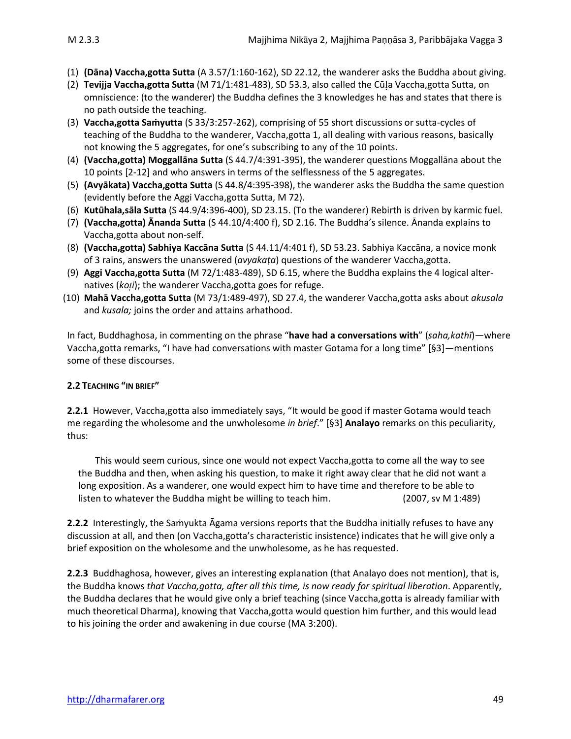- (1) **(Dāna) Vaccha,gotta Sutta** (A 3.57/1:160-162), SD 22.12, the wanderer asks the Buddha about giving.
- (2) **Tevijja Vaccha,gotta Sutta** (M 71/1:481-483), SD 53.3, also called the Cūa Vaccha,gotta Sutta, on omniscience: (to the wanderer) the Buddha defines the 3 knowledges he has and states that there is no path outside the teaching.
- (3) **Vaccha,gotta Saṁyutta** (S 33/3:257-262), comprising of 55 short discussions or sutta-cycles of teaching of the Buddha to the wanderer, Vaccha,gotta 1, all dealing with various reasons, basically not knowing the 5 aggregates, for one's subscribing to any of the 10 points.
- (4) **(Vaccha,gotta) Moggallāna Sutta** (S 44.7/4:391-395), the wanderer questions Moggallāna about the 10 points [2-12] and who answers in terms of the selflessness of the 5 aggregates.
- (5) **(Avyākata) Vaccha,gotta Sutta** (S 44.8/4:395-398), the wanderer asks the Buddha the same question (evidently before the Aggi Vaccha,gotta Sutta, M 72).
- (6) **Kutūhala,sāla Sutta** (S 44.9/4:396-400), SD 23.15. (To the wanderer) Rebirth is driven by karmic fuel.
- (7) **(Vaccha,gotta) Ānanda Sutta** (S 44.10/4:400 f), SD 2.16. The Buddha's silence. Ānanda explains to Vaccha,gotta about non-self.
- (8) **(Vaccha,gotta) Sabhiya Kaccāna Sutta** (S 44.11/4:401 f), SD 53.23. Sabhiya Kaccāna, a novice monk of 3 rains, answers the unanswered (*avyakaṭa*) questions of the wanderer Vaccha,gotta.
- (9) **Aggi Vaccha,gotta Sutta** (M 72/1:483-489), SD 6.15, where the Buddha explains the 4 logical alternatives (*koi*); the wanderer Vaccha,gotta goes for refuge.
- (10) **Mahā Vaccha,gotta Sutta** (M 73/1:489-497), SD 27.4, the wanderer Vaccha,gotta asks about *akusala*  and *kusala;* joins the order and attains arhathood.

In fact, Buddhaghosa, in commenting on the phrase "**have had a conversations with**" (*saha,kathī*)—where Vaccha,gotta remarks, "I have had conversations with master Gotama for a long time" [§3]—mentions some of these discourses.

#### **2.2 TEACHING "IN BRIEF"**

**2.2.1** However, Vaccha,gotta also immediately says, "It would be good if master Gotama would teach me regarding the wholesome and the unwholesome *in brief*." [§3] **Analayo** remarks on this peculiarity, thus:

This would seem curious, since one would not expect Vaccha,gotta to come all the way to see the Buddha and then, when asking his question, to make it right away clear that he did not want a long exposition. As a wanderer, one would expect him to have time and therefore to be able to listen to whatever the Buddha might be willing to teach him. (2007, sv M 1:489)

**2.2.2** Interestingly, the Saṁyukta Āgama versions reports that the Buddha initially refuses to have any discussion at all, and then (on Vaccha,gotta's characteristic insistence) indicates that he will give only a brief exposition on the wholesome and the unwholesome, as he has requested.

**2.2.3** Buddhaghosa, however, gives an interesting explanation (that Analayo does not mention), that is, the Buddha knows *that Vaccha,gotta, after all this time, is now ready for spiritual liberation*. Apparently, the Buddha declares that he would give only a brief teaching (since Vaccha,gotta is already familiar with much theoretical Dharma), knowing that Vaccha,gotta would question him further, and this would lead to his joining the order and awakening in due course (MA 3:200).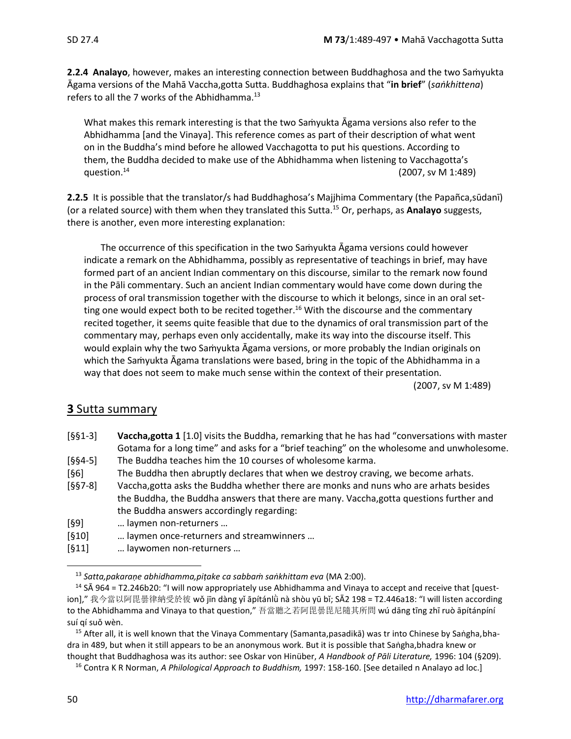**2.2.4 Analayo**, however, makes an interesting connection between Buddhaghosa and the two Saṁyukta Āgama versions of the Mahā Vaccha,gotta Sutta. Buddhaghosa explains that "**in brief**" (*saṅkhittena*) refers to all the 7 works of the Abhidhamma.<sup>13</sup>

What makes this remark interesting is that the two Saṁyukta Āgama versions also refer to the Abhidhamma [and the Vinaya]. This reference comes as part of their description of what went on in the Buddha's mind before he allowed Vacchagotta to put his questions. According to them, the Buddha decided to make use of the Abhidhamma when listening to Vacchagotta's question. $14$ (2007, sv M 1:489)

**2.2.5** It is possible that the translator/s had Buddhaghosa's Majjhima Commentary (the Papañca,sūdanī) (or a related source) with them when they translated this Sutta.<sup>15</sup> Or, perhaps, as **Analayo** suggests, there is another, even more interesting explanation:

The occurrence of this specification in the two Saṁyukta Āgama versions could however indicate a remark on the Abhidhamma, possibly as representative of teachings in brief, may have formed part of an ancient Indian commentary on this discourse, similar to the remark now found in the Pāli commentary. Such an ancient Indian commentary would have come down during the process of oral transmission together with the discourse to which it belongs, since in an oral setting one would expect both to be recited together.<sup>16</sup> With the discourse and the commentary recited together, it seems quite feasible that due to the dynamics of oral transmission part of the commentary may, perhaps even only accidentally, make its way into the discourse itself. This would explain why the two Samyukta Āgama versions, or more probably the Indian originals on which the Saṁyukta Āgama translations were based, bring in the topic of the Abhidhamma in a way that does not seem to make much sense within the context of their presentation.

(2007, sv M 1:489)

## **3** Sutta summary

| $[661-3]$ | Vaccha, gotta 1 [1.0] visits the Buddha, remarking that he has had "conversations with master |  |  |  |  |
|-----------|-----------------------------------------------------------------------------------------------|--|--|--|--|
|           | Gotama for a long time" and asks for a "brief teaching" on the wholesome and unwholesome.     |  |  |  |  |
| $[§§4-5]$ | The Buddha teaches him the 10 courses of wholesome karma.                                     |  |  |  |  |

- [§6] The Buddha then abruptly declares that when we destroy craving, we become arhats.
- [§§7-8] Vaccha,gotta asks the Buddha whether there are monks and nuns who are arhats besides the Buddha, the Buddha answers that there are many. Vaccha,gotta questions further and the Buddha answers accordingly regarding:
- [§9] … laymen non-returners …
- [§10] … laymen once-returners and streamwinners …
- [§11] … laywomen non-returners …

<sup>13</sup> *Satta,pakaraṇe abhidhamma,piṭake ca sabbaṁ saṅkhittam eva* (MA 2:00).

<sup>15</sup> After all, it is well known that the Vinaya Commentary (Samanta,pasadikā) was tr into Chinese by Saṅgha,bhadra in 489, but when it still appears to be an anonymous work. But it is possible that Saṅgha,bhadra knew or thought that Buddhaghosa was its author: see Oskar von Hinüber, *A Handbook of Pāli Literature,* 1996: 104 (§209).

<sup>16</sup> Contra K R Norman, *A Philological Approach to Buddhism,* 1997: 158-160. [See detailed n Analayo ad loc.]

<sup>&</sup>lt;sup>14</sup> SA 964 = T2.246b20: "I will now appropriately use Abhidhamma and Vinaya to accept and receive that [question]," 我今當以阿毘曇律納受於彼 wǒ jīn dàng yǐ āpítánlǜ nà shòu yū bǐ; SĀ2 198 = T2.446a18: "I will listen according to the Abhidhamma and Vinaya to that question," 吾當聽之若阿毘曇毘尼隨其所問 wú dāng tīng zhī ruò āpítánpíní suí qí suǒ wèn.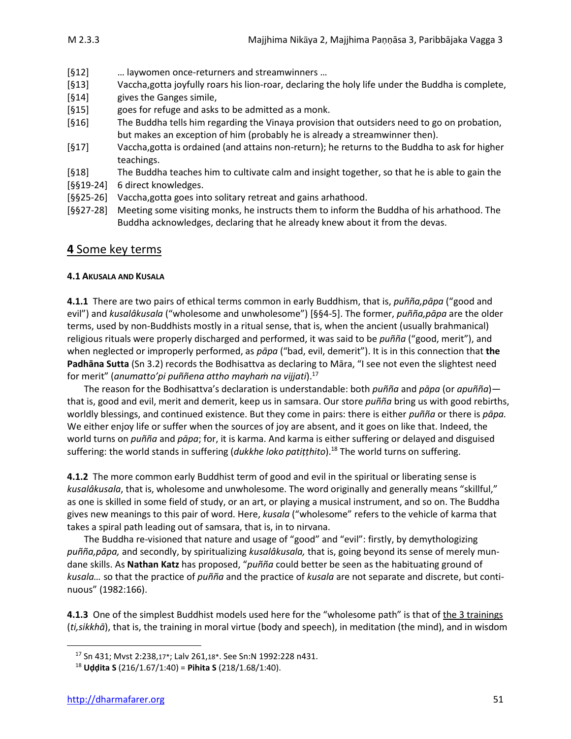- [§12] … laywomen once-returners and streamwinners …
- [§13] Vaccha,gotta joyfully roars his lion-roar, declaring the holy life under the Buddha is complete,
- [§14] gives the Ganges simile,
- [§15] goes for refuge and asks to be admitted as a monk.
- [§16] The Buddha tells him regarding the Vinaya provision that outsiders need to go on probation, but makes an exception of him (probably he is already a streamwinner then).
- [§17] Vaccha,gotta is ordained (and attains non-return); he returns to the Buddha to ask for higher teachings.
- [§18] The Buddha teaches him to cultivate calm and insight together, so that he is able to gain the
- [§§19-24] 6 direct knowledges.
- [§§25-26] Vaccha,gotta goes into solitary retreat and gains arhathood.
- [§§27-28] Meeting some visiting monks, he instructs them to inform the Buddha of his arhathood. The Buddha acknowledges, declaring that he already knew about it from the devas.

## **4** Some key terms

#### **4.1 AKUSALA AND KUSALA**

**4.1.1** There are two pairs of ethical terms common in early Buddhism, that is, *puñña,pāpa* ("good and evil") and *kusalâkusala* ("wholesome and unwholesome") [§§4-5]. The former, *puñña,pāpa* are the older terms, used by non-Buddhists mostly in a ritual sense, that is, when the ancient (usually brahmanical) religious rituals were properly discharged and performed, it was said to be *puñña* ("good, merit"), and when neglected or improperly performed, as *pāpa* ("bad, evil, demerit"). It is in this connection that **the Padhāna Sutta** (Sn 3.2) records the Bodhisattva as declaring to Māra, "I see not even the slightest need for merit" (*anumatto'pi puññena attho mayhaṁ na vijjati*).<sup>17</sup>

The reason for the Bodhisattva's declaration is understandable: both *puñña* and *pāpa* (or *apuñña*) that is, good and evil, merit and demerit, keep us in samsara. Our store *puñña* bring us with good rebirths, worldly blessings, and continued existence. But they come in pairs: there is either *puñña* or there is *pāpa.* We either enjoy life or suffer when the sources of joy are absent, and it goes on like that. Indeed, the world turns on *puñña* and *pāpa*; for, it is karma. And karma is either suffering or delayed and disguised suffering: the world stands in suffering (*dukkhe loko patiṭṭhito*). <sup>18</sup> The world turns on suffering.

**4.1.2** The more common early Buddhist term of good and evil in the spiritual or liberating sense is *kusalâkusala*, that is, wholesome and unwholesome. The word originally and generally means "skillful," as one is skilled in some field of study, or an art, or playing a musical instrument, and so on. The Buddha gives new meanings to this pair of word. Here, *kusala* ("wholesome" refers to the vehicle of karma that takes a spiral path leading out of samsara, that is, in to nirvana.

The Buddha re-visioned that nature and usage of "good" and "evil": firstly, by demythologizing *puñña,pāpa,* and secondly, by spiritualizing *kusalâkusala,* that is, going beyond its sense of merely mundane skills. As **Nathan Katz** has proposed, "*puñña* could better be seen as the habituating ground of *kusala…* so that the practice of *puñña* and the practice of *kusala* are not separate and discrete, but continuous" (1982:166).

**4.1.3** One of the simplest Buddhist models used here for the "wholesome path" is that of the 3 trainings (*ti,sikkhā*), that is, the training in moral virtue (body and speech), in meditation (the mind), and in wisdom

<sup>17</sup> Sn 431; Mvst 2:238,17\*; Lalv 261,18\*. See Sn:N 1992:228 n431.

<sup>18</sup> **Uḍḍita S** (216/1.67/1:40) = **Pihita S** (218/1.68/1:40).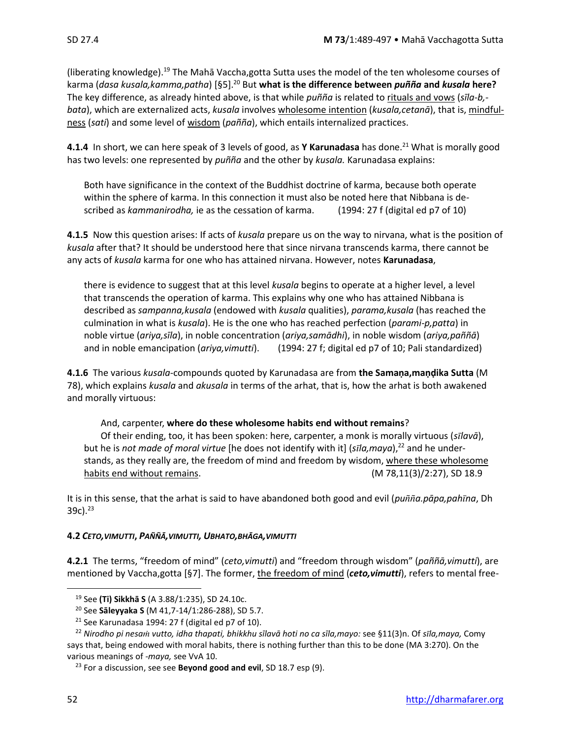(liberating knowledge).<sup>19</sup> The Mahā Vaccha,gotta Sutta uses the model of the ten wholesome courses of karma (*dasa kusala,kamma,patha*) [§5].<sup>20</sup> But **what is the difference between** *puñña* **and** *kusala* **here?** The key difference, as already hinted above, is that while *puñña* is related to rituals and vows (*sīla-b, bata*), which are externalized acts, *kusala* involves wholesome intention (*kusala,cetanā*), that is, mindfulness (*sati*) and some level of wisdom (*pañña*), which entails internalized practices.

**4.1.4** In short, we can here speak of 3 levels of good, as **Y Karunadasa** has done.<sup>21</sup> What is morally good has two levels: one represented by *puñña* and the other by *kusala.* Karunadasa explains:

Both have significance in the context of the Buddhist doctrine of karma, because both operate within the sphere of karma. In this connection it must also be noted here that Nibbana is described as *kammanirodha,* ie as the cessation of karma. (1994: 27 f (digital ed p7 of 10)

**4.1.5** Now this question arises: If acts of *kusala* prepare us on the way to nirvana, what is the position of *kusala* after that? It should be understood here that since nirvana transcends karma, there cannot be any acts of *kusala* karma for one who has attained nirvana. However, notes **Karunadasa**,

there is evidence to suggest that at this level *kusala* begins to operate at a higher level, a level that transcends the operation of karma. This explains why one who has attained Nibbana is described as *sampanna,kusala* (endowed with *kusala* qualities), *parama,kusala* (has reached the culmination in what is *kusala*). He is the one who has reached perfection (*parami-p,patta*) in noble virtue (*ariya,sīla*), in noble concentration (*ariya,samādhi*), in noble wisdom (*ariya,paññā*) and in noble emancipation (*ariya,vimutti*). (1994: 27 f; digital ed p7 of 10; Pali standardized)

**4.1.6** The various *kusala*-compounds quoted by Karunadasa are from **the Samaṇa,maṇḍika Sutta** (M 78), which explains *kusala* and *akusala* in terms of the arhat, that is, how the arhat is both awakened and morally virtuous:

#### And, carpenter, **where do these wholesome habits end without remains**?

Of their ending, too, it has been spoken: here, carpenter, a monk is morally virtuous (*slavā*), but he is *not made of moral virtue* [he does not identify with it] (*sila,maya*),<sup>22</sup> and he understands, as they really are, the freedom of mind and freedom by wisdom, where these wholesome habits end without remains. The same state of the state of the M 78,11(3)/2:27), SD 18.9

It is in this sense, that the arhat is said to have abandoned both good and evil (*pua.pāpa,pahna*, Dh 39c). $^{23}$ 

#### **4.2** *CETO,VIMUTTI***,** *PAÑÑĀ,VIMUTTI, UBHATO,BHĀGA,VIMUTTI*

**4.2.1** The terms, "freedom of mind" (*ceto,vimutti*) and "freedom through wisdom" (*paññā,vimutti*), are mentioned by Vaccha,gotta [§7]. The former, the freedom of mind (*ceto,vimutti*), refers to mental free-

<sup>19</sup> See **(Ti) Sikkhā S** (A 3.88/1:235), SD 24.10c.

<sup>20</sup> See **Sāleyyaka S** (M 41,7-14/1:286-288), SD 5.7.

 $21$  See Karunadasa 1994: 27 f (digital ed p7 of 10).

<sup>22</sup> *Nirodho pi nesa vutto, idha thapati, bhikkhu sīlavā hoti no ca sīla,mayo:* see §11(3)n. Of *sla,maya,* Comy says that, being endowed with moral habits, there is nothing further than this to be done (MA 3:270). On the various meanings of *-maya,* see VvA 10.

<sup>23</sup> For a discussion, see see **Beyond good and evil**, SD 18.7 esp (9).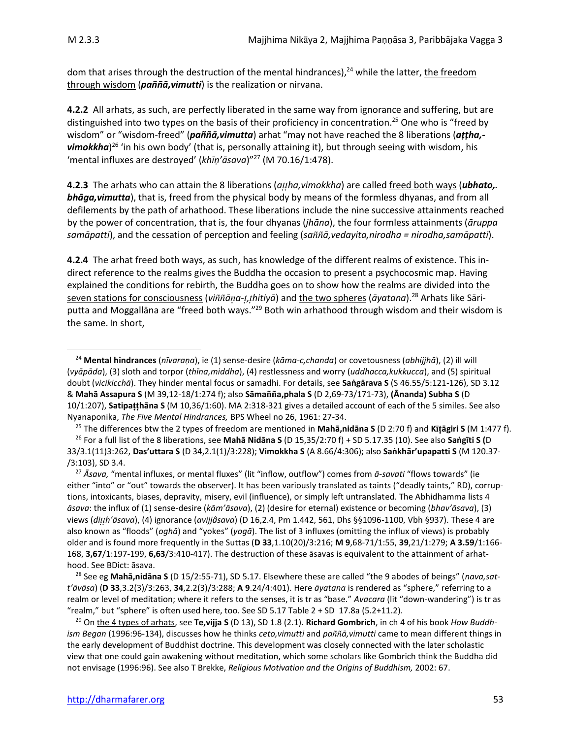dom that arises through the destruction of the mental hindrances),<sup>24</sup> while the latter, <u>the freedom</u> through wisdom (*paññā,vimutti*) is the realization or nirvana.

**4.2.2** All arhats, as such, are perfectly liberated in the same way from ignorance and suffering, but are distinguished into two types on the basis of their proficiency in concentration.<sup>25</sup> One who is "freed by wisdom" or "wisdom-freed" (*paññā,vimutta*) arhat "may not have reached the 8 liberations (*aṭṭha,* vimokkha)<sup>26</sup> 'in his own body' (that is, personally attaining it), but through seeing with wisdom, his 'mental influxes are destroyed' (*khīṇ'āsava*)" <sup>27</sup> (M 70.16/1:478).

**4.2.3** The arhats who can attain the 8 liberations (*aha,vimokkha*) are called freed both ways (*ubhato, bhāga,vimutta*), that is, freed from the physical body by means of the formless dhyanas, and from all defilements by the path of arhathood. These liberations include the nine successive attainments reached by the power of concentration, that is, the four dhyanas (*jhāna*), the four formless attainments (*āruppa samāpatti*), and the cessation of perception and feeling (*saā,vedayita,nirodha = nirodha,samāpatti*).

**4.2.4** The arhat freed both ways, as such, has knowledge of the different realms of existence. This indirect reference to the realms gives the Buddha the occasion to present a psychocosmic map. Having explained the conditions for rebirth, the Buddha goes on to show how the realms are divided into the seven stations for consciousness (*viāa-,hitiyā*) and the two spheres (*āyatana*).<sup>28</sup> Arhats like Sāriputta and Moggallāna are "freed both ways."<sup>29</sup> Both win arhathood through wisdom and their wisdom is the same. In short,

<sup>25</sup> The differences btw the 2 types of freedom are mentioned in **Mahā,nidāna S** (D 2:70 f) and **Kāgiri S** (M 1:477 f).

<sup>27</sup> *Āsava,* "mental influxes, or mental fluxes" (lit "inflow, outflow") comes from *ā-savati* "flows towards" (ie either "into" or "out" towards the observer). It has been variously translated as taints ("deadly taints," RD), corruptions, intoxicants, biases, depravity, misery, evil (influence), or simply left untranslated. The Abhidhamma lists 4 *āsava*: the influx of (1) sense-desire (*kām'āsava*), (2) (desire for eternal) existence or becoming (*bhav'āsava*), (3) views (*dih'āsava*), (4) ignorance (*avijjâsava*) (D 16,2.4, Pm 1.442, 561, Dhs §§1096-1100, Vbh §937). These 4 are also known as "floods" (*oghā*) and "yokes" (*yogā*). The list of 3 influxes (omitting the influx of views) is probably older and is found more frequently in the Suttas (**D 33**,1.10(20)/3:216; **M 9**,68-71/1:55, **39**,21/1:279; **A 3.59**/1:166- 168, **3,67**/1:197-199, **6,63**/3:410-417). The destruction of these āsavas is equivalent to the attainment of arhathood. See BDict: āsava.

<sup>28</sup> See eg **Mahā,nidāna S** (D 15/2:55-71), SD 5.17. Elsewhere these are called "the 9 abodes of beings" (*nava,satt'āvāsa*) (**D 33**,3.2(3)/3:263, **34**,2.2(3)/3:288; **A 9**.24/4:401). Here *āyatana* is rendered as "sphere," referring to a realm or level of meditation; where it refers to the senses, it is tr as "base." *Avacara* (lit "down-wandering") is tr as "realm," but "sphere" is often used here, too. See SD 5.17 Table 2 + SD 17.8a (5.2+11.2).

<sup>29</sup> On the 4 types of arhats, see **Te,vijja S** (D 13), SD 1.8 (2.1). **Richard Gombrich**, in ch 4 of his book *How Buddhism Began* (1996:96-134), discusses how he thinks *ceto,vimutti* and *paññā*,vimutti came to mean different things in the early development of Buddhist doctrine. This development was closely connected with the later scholastic view that one could gain awakening without meditation, which some scholars like Gombrich think the Buddha did not envisage (1996:96). See also T Brekke, *Religious Motivation and the Origins of Buddhism,* 2002: 67.

<sup>24</sup> **Mental hindrances** (*nīvaraṇa*), ie (1) sense-desire (*kāma-c,chanda*) or covetousness (*abhijjhā*), (2) ill will (*vyāpāda*), (3) sloth and torpor (*thīna,middha*), (4) restlessness and worry (*uddhacca,kukkucca*), and (5) spiritual doubt (*vicikicchā*). They hinder mental focus or samadhi. For details, see **Saṅgārava S** (S 46.55/5:121-126), SD 3.12 & **Mahā Assapura S** (M 39,12-18/1:274 f); also **Sāmaa,phala S** (D 2,69-73/171-73), **(Ānanda) Subha S** (D 10/1:207), **Satipahāna S** (M 10,36/1:60). MA 2:318-321 gives a detailed account of each of the 5 similes. See also Nyanaponika, *The Five Mental Hindrances,* BPS Wheel no 26, 1961: 27-34.

<sup>26</sup> For a full list of the 8 liberations, see **Mahā Nidāna S** (D 15,35/2:70 f) + SD 5.17.35 (10). See also **Saṅgīti S (**D 33/3.1(11)3:262, **Das'uttara S** (D 34,2.1(1)/3:228); **Vimokkha S** (A 8.66/4:306); also **Saṅkhār'upapatti S** (M 120.37- /3:103), SD 3.4.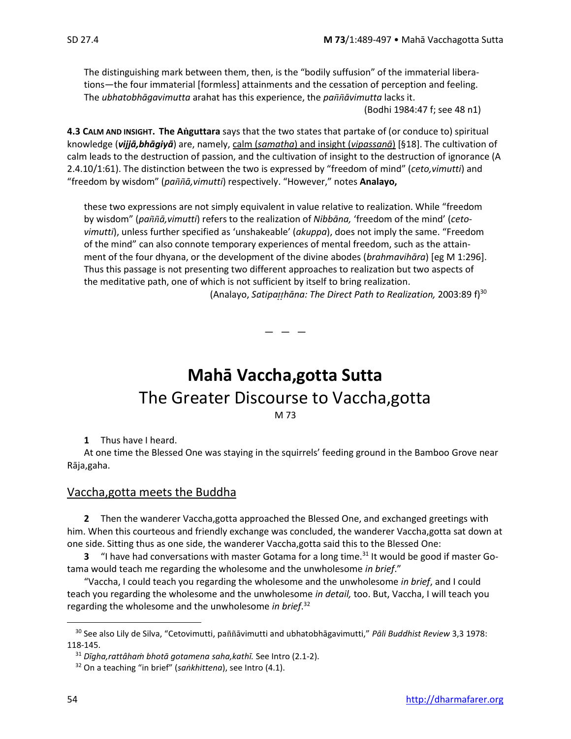The distinguishing mark between them, then, is the "bodily suffusion" of the immaterial liberations—the four immaterial [formless] attainments and the cessation of perception and feeling. The *ubhatobhāgavimutta* arahat has this experience, the *paāvimutta* lacks it.

(Bodhi 1984:47 f; see 48 n1)

**4.3 CALM AND INSIGHT. The Aguttara** says that the two states that partake of (or conduce to) spiritual knowledge (*vijjā,bhāgiyā*) are, namely, calm (*samatha*) and insight (*vipassanā*) [§18]. The cultivation of calm leads to the destruction of passion, and the cultivation of insight to the destruction of ignorance (A 2.4.10/1:61). The distinction between the two is expressed by "freedom of mind" (*ceto,vimutti*) and "freedom by wisdom" (*paā,vimutti*) respectively. "However," notes **Analayo,**

these two expressions are not simply equivalent in value relative to realization. While "freedom by wisdom" (*paā,vimutti*) refers to the realization of *Nibbāna,* 'freedom of the mind' (*cetovimutti*), unless further specified as 'unshakeable' (*akuppa*), does not imply the same. "Freedom of the mind" can also connote temporary experiences of mental freedom, such as the attainment of the four dhyana, or the development of the divine abodes (*brahmavihāra*) [eg M 1:296]. Thus this passage is not presenting two different approaches to realization but two aspects of the meditative path, one of which is not sufficient by itself to bring realization.

(Analayo, *Satipahāna: The Direct Path to Realization,* 2003:89 f)<sup>30</sup>

— — —

## **Mahā Vaccha,gotta Sutta** The Greater Discourse to Vaccha,gotta M 73

**1** Thus have I heard.

At one time the Blessed One was staying in the squirrels' feeding ground in the Bamboo Grove near Rāja,gaha.

## Vaccha,gotta meets the Buddha

**2** Then the wanderer Vaccha,gotta approached the Blessed One, and exchanged greetings with him. When this courteous and friendly exchange was concluded, the wanderer Vaccha,gotta sat down at one side. Sitting thus as one side, the wanderer Vaccha,gotta said this to the Blessed One:

**3** "I have had conversations with master Gotama for a long time.<sup>31</sup> It would be good if master Gotama would teach me regarding the wholesome and the unwholesome *in brief*."

"Vaccha, I could teach you regarding the wholesome and the unwholesome *in brief*, and I could teach you regarding the wholesome and the unwholesome *in detail,* too. But, Vaccha, I will teach you regarding the wholesome and the unwholesome *in brief*. 32

<sup>&</sup>lt;sup>30</sup> See also Lily de Silva, "Cetovimutti, paññāvimutti and ubhatobhāgavimutti," Pāli Buddhist Review 3,3 1978: 118-145.

<sup>31</sup> *Dīgha,rattâhaṁ bhotā gotamena saha,kathī.* See Intro (2.1-2).

<sup>32</sup> On a teaching "in brief" (*saṅkhittena*), see Intro (4.1).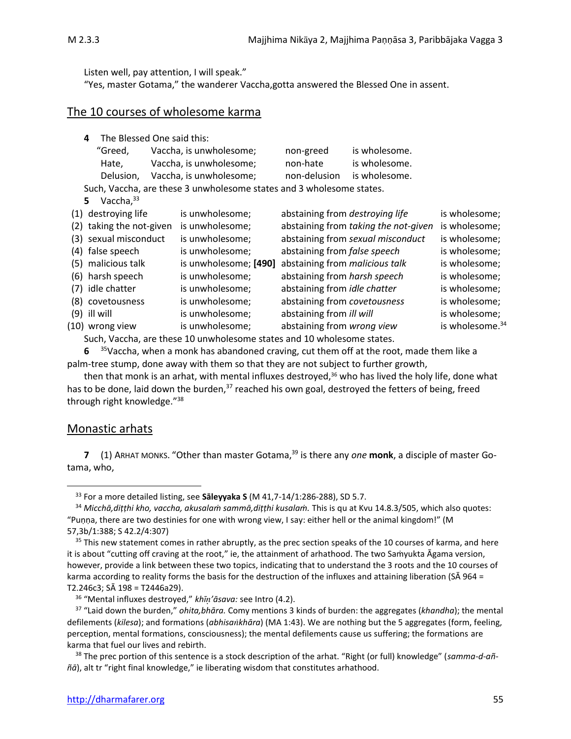Listen well, pay attention, I will speak."

"Yes, master Gotama," the wanderer Vaccha,gotta answered the Blessed One in assent.

### The 10 courses of wholesome karma

|     | The Blessed One said this:<br>4                                      |  |                         |                                     |                                      |                             |  |
|-----|----------------------------------------------------------------------|--|-------------------------|-------------------------------------|--------------------------------------|-----------------------------|--|
|     | "Greed,                                                              |  | Vaccha, is unwholesome; | non-greed                           | is wholesome.                        |                             |  |
|     | Hate,                                                                |  | Vaccha, is unwholesome; | non-hate                            | is wholesome.                        |                             |  |
|     | Delusion,                                                            |  | Vaccha, is unwholesome; | non-delusion                        | is wholesome.                        |                             |  |
|     | Such, Vaccha, are these 3 unwholesome states and 3 wholesome states. |  |                         |                                     |                                      |                             |  |
|     | Vaccha, $33$<br>5.                                                   |  |                         |                                     |                                      |                             |  |
|     | (1) destroying life                                                  |  | is unwholesome;         | abstaining from destroying life     |                                      | is wholesome;               |  |
| (2) | taking the not-given                                                 |  | is unwholesome;         |                                     | abstaining from taking the not-given | is wholesome;               |  |
|     | (3) sexual misconduct                                                |  | is unwholesome;         |                                     | abstaining from sexual misconduct    | is wholesome;               |  |
|     | (4) false speech                                                     |  | is unwholesome;         | abstaining from false speech        |                                      | is wholesome;               |  |
| (5) | malicious talk                                                       |  | is unwholesome; [490]   | abstaining from malicious talk      |                                      | is wholesome;               |  |
| (6) | harsh speech                                                         |  | is unwholesome;         | abstaining from harsh speech        |                                      | is wholesome;               |  |
| (7) | idle chatter                                                         |  | is unwholesome;         | abstaining from <i>idle chatter</i> |                                      | is wholesome;               |  |
|     | (8) covetousness                                                     |  | is unwholesome;         | abstaining from covetousness        |                                      | is wholesome;               |  |
| (9) | ill will                                                             |  | is unwholesome;         | abstaining from ill will            |                                      | is wholesome;               |  |
|     | (10) wrong view                                                      |  | is unwholesome;         | abstaining from wrong view          |                                      | is wholesome. <sup>34</sup> |  |
|     |                                                                      |  |                         |                                     |                                      |                             |  |

Such, Vaccha, are these 10 unwholesome states and 10 wholesome states.

**6** <sup>35</sup>Vaccha, when a monk has abandoned craving, cut them off at the root, made them like a palm-tree stump, done away with them so that they are not subject to further growth,

then that monk is an arhat, with mental influxes destroyed, $36$  who has lived the holy life, done what has to be done, laid down the burden, $37$  reached his own goal, destroyed the fetters of being, freed through right knowledge."<sup>38</sup>

#### Monastic arhats

**7** (1) ARHAT MONKS. "Other than master Gotama,<sup>39</sup> is there any *one* **monk**, a disciple of master Gotama, who,

<sup>33</sup> For a more detailed listing, see **Sāleyyaka S** (M 41,7-14/1:286-288), SD 5.7.

<sup>34</sup> *Micchā,diṭṭhi kho, vaccha, akusalaṁ sammā,diṭṭhi kusalaṁ.* This is qu at Kvu 14.8.3/505, which also quotes: "Puṇṇa, there are two destinies for one with wrong view, I say: either hell or the animal kingdom!" (M 57,3b/1:388; S 42.2/4:307)

<sup>&</sup>lt;sup>35</sup> This new statement comes in rather abruptly, as the prec section speaks of the 10 courses of karma, and here it is about "cutting off craving at the root," ie, the attainment of arhathood. The two Saṁyukta Āgama version, however, provide a link between these two topics, indicating that to understand the 3 roots and the 10 courses of karma according to reality forms the basis for the destruction of the influxes and attaining liberation (SA 964 = T2.246c3; SĀ 198 = T2446a29).

<sup>36</sup> "Mental influxes destroyed," *khī'āsava:* see Intro (4.2).

<sup>37</sup> "Laid down the burden," *ohita,bhāra.* Comy mentions 3 kinds of burden: the aggregates (*khandha*); the mental defilements (*kilesa*); and formations (*abhisakhāra*) (MA 1:43). We are nothing but the 5 aggregates (form, feeling, perception, mental formations, consciousness); the mental defilements cause us suffering; the formations are karma that fuel our lives and rebirth.

<sup>38</sup> The prec portion of this sentence is a stock description of the arhat. "Right (or full) knowledge" (*samma-d-aññā*), alt tr "right final knowledge," ie liberating wisdom that constitutes arhathood.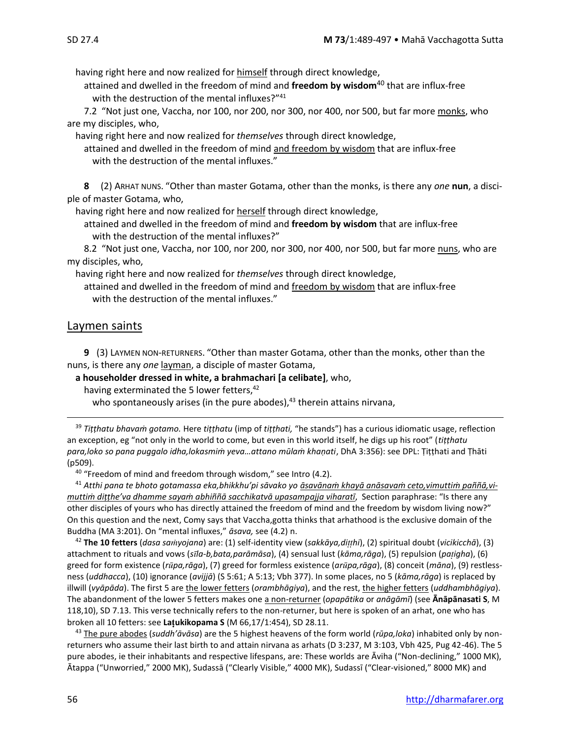having right here and now realized for himself through direct knowledge,

attained and dwelled in the freedom of mind and **freedom by wisdom**<sup>40</sup> that are influx-free with the destruction of the mental influxes?"<sup>41</sup>

7.2 "Not just one, Vaccha, nor 100, nor 200, nor 300, nor 400, nor 500, but far more monks, who are my disciples, who,

having right here and now realized for *themselves* through direct knowledge,

attained and dwelled in the freedom of mind and freedom by wisdom that are influx-free with the destruction of the mental influxes."

**8** (2) ARHAT NUNS. "Other than master Gotama, other than the monks, is there any *one* **nun**, a disciple of master Gotama, who,

having right here and now realized for herself through direct knowledge,

attained and dwelled in the freedom of mind and **freedom by wisdom** that are influx-free with the destruction of the mental influxes?"

8.2 "Not just one, Vaccha, nor 100, nor 200, nor 300, nor 400, nor 500, but far more nuns, who are my disciples, who,

having right here and now realized for *themselves* through direct knowledge,

attained and dwelled in the freedom of mind and freedom by wisdom that are influx-free with the destruction of the mental influxes."

## Laymen saints

**9** (3) LAYMEN NON-RETURNERS. "Other than master Gotama, other than the monks, other than the nuns, is there any *one* layman, a disciple of master Gotama,

**a householder dressed in white, a brahmachari [a celibate]**, who,

having exterminated the 5 lower fetters,<sup>42</sup>

who spontaneously arises (in the pure abodes), $43$  therein attains nirvana,

<sup>39</sup> *Tiṭṭhatu bhavaṁ gotamo.* Here *tiṭṭhatu* (imp of *tiṭṭhati,* "he stands") has a curious idiomatic usage, reflection an exception, eg "not only in the world to come, but even in this world itself, he digs up his root" (*tiṭṭhatu para,loko so pana puggalo idha,lokasmiṁ yeva…attano mūlaṁ khaṇati*, DhA 3:356): see DPL: Ṭiṭṭhati and Ṭhāti (p509).

 $40$  "Freedom of mind and freedom through wisdom," see Intro (4.2).

<sup>41</sup> *Atthi pana te bhoto gotamassa eka,bhikkhu'pi sāvako yo āsavānaṁ khayā anāsavaṁ ceto,vimuttiṁ paññā,vimuttiṁ diṭṭhe'va dhamme sayaṁ abhiññā sacchikatvā upasampajja viharatī*, Section paraphrase: "Is there any other disciples of yours who has directly attained the freedom of mind and the freedom by wisdom living now?" On this question and the next, Comy says that Vaccha,gotta thinks that arhathood is the exclusive domain of the Buddha (MA 3:201). On "mental influxes," *āsava,* see (4.2) n.

<sup>42</sup> **The 10 fetters** (*dasa sayojana*) are: (1) self-identity view (*sakkāya,dihi*), (2) spiritual doubt (*vicikicchā*), (3) attachment to rituals and vows (*sla-b,bata,parāmāsa*), (4) sensual lust (*kāma,rāga*), (5) repulsion (*paigha*), (6) greed for form existence (*rpa,rāga*), (7) greed for formless existence (*arpa,rāga*), (8) conceit (*māna*), (9) restlessness (*uddhacca*), (10) ignorance (*avijjā*) (S 5:61; A 5:13; Vbh 377). In some places, no 5 (*kāma,rāga*) is replaced by illwill (*vyāpāda*). The first 5 are the lower fetters (*orambhāgiya*), and the rest, the higher fetters (*uddhambhāgiya*). The abandonment of the lower 5 fetters makes one a non-returner (*opapātika* or *anāgāmī*) (see **Ānāpānasati S**, M 118,10), SD 7.13. This verse technically refers to the non-returner, but here is spoken of an arhat, one who has broken all 10 fetters: see **Laukikopama S** (M 66,17/1:454), SD 28.11.

<sup>43</sup> The pure abodes (*suddh'āvāsa*) are the 5 highest heavens of the form world (*rūpa,loka*) inhabited only by nonreturners who assume their last birth to and attain nirvana as arhats (D 3:237, M 3:103, Vbh 425, Pug 42-46). The 5 pure abodes, ie their inhabitants and respective lifespans, are: These worlds are Āviha ("Non-declining," 1000 MK), Ātappa ("Unworried," 2000 MK), Sudassā ("Clearly Visible," 4000 MK), Sudassī ("Clear-visioned," 8000 MK) and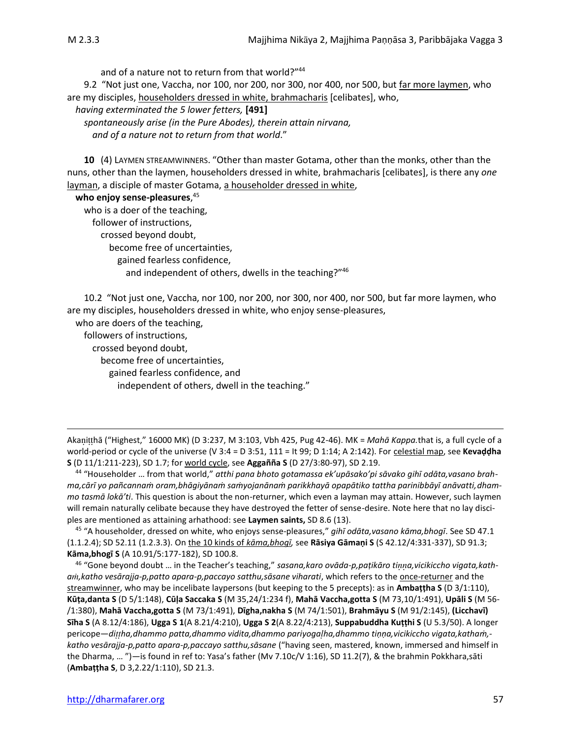and of a nature not to return from that world?"44

9.2 "Not just one, Vaccha, nor 100, nor 200, nor 300, nor 400, nor 500, but far more laymen, who are my disciples, householders dressed in white, brahmacharis [celibates], who,

*having exterminated the 5 lower fetters,* **[491]**

*spontaneously arise (in the Pure Abodes), therein attain nirvana, and of a nature not to return from that world*."

**10** (4) LAYMEN STREAMWINNERS. "Other than master Gotama, other than the monks, other than the nuns, other than the laymen, householders dressed in white, brahmacharis [celibates], is there any *one* layman, a disciple of master Gotama, a householder dressed in white,

**who enjoy sense-pleasures**, 45 who is a doer of the teaching, follower of instructions, crossed beyond doubt, become free of uncertainties, gained fearless confidence, and independent of others, dwells in the teaching?"<sup>46</sup>

10.2 "Not just one, Vaccha, nor 100, nor 200, nor 300, nor 400, nor 500, but far more laymen, who are my disciples, householders dressed in white, who enjoy sense-pleasures,

who are doers of the teaching,

followers of instructions,

crossed beyond doubt,

become free of uncertainties,

gained fearless confidence, and

independent of others, dwell in the teaching."

Akanitthā ("Highest," 16000 MK) (D 3:237, M 3:103, Vbh 425, Pug 42-46). MK = Mahā Kappa.that is, a full cycle of a world-period or cycle of the universe (V 3:4 = D 3:51, 111 = It 99; D 1:14; A 2:142). For celestial map, see **Kevaḍḍha S** (D 11/1:211-223), SD 1.7; for world cycle, see **Aggañña S** (D 27/3:80-97), SD 2.19.

<sup>44</sup> "Householder … from that world," *atthi pana bhoto gotamassa ek'upāsako'pi sāvako gihī odāta,vasano brahma,cārī yo pañcannaṁ oram,bhāgiyānaṁ saṁyojanānaṁ parikkhayā opapātiko tattha parinibbāyī anāvatti,dhammo tasmā lokā'ti*. This question is about the non-returner, which even a layman may attain. However, such laymen will remain naturally celibate because they have destroyed the fetter of sense-desire. Note here that no lay disciples are mentioned as attaining arhathood: see **Laymen saints,** SD 8.6 (13).

<sup>45</sup> "A householder, dressed on white, who enjoys sense-pleasures," *gihī odāta,vasano kāma,bhogī*. See SD 47.1 (1.1.2.4); SD 52.11 (1.2.3.3). On the 10 kinds of *kāma,bhogī,* see **Rāsiya Gāmaṇi S** (S 42.12/4:331-337), SD 91.3; **Kāma,bhogī S** (A 10.91/5:177-182), SD 100.8.

<sup>46</sup> "Gone beyond doubt … in the Teacher's teaching," *sasana,karo ovāda-p,paṭikāro tia,vicikiccho vigata,katha,katho vesārajja-p,patto apara-p,paccayo satthu,sāsane viharati*, which refers to the once-returner and the streamwinner, who may be incelibate laypersons (but keeping to the 5 precepts): as in **Ambaṭṭha S** (D 3/1:110), **Kūṭa,danta S** (D 5/1:148), **Cūḷa Saccaka S** (M 35,24/1:234 f), **Mahā Vaccha,gotta S** (M 73,10/1:491), **Upāli S** (M 56- /1:380), **Mahā Vaccha,gotta S** (M 73/1:491), **Dīgha,nakha S** (M 74/1:501), **Brahmāyu S** (M 91/2:145), **(Licchavī) Sīha S** (A 8.12/4:186), **Ugga S 1**(A 8.21/4:210), **Ugga S 2**(A 8.22/4:213), **Suppabuddha Kuṭṭhi S** (U 5.3/50). A longer pericope—*diha,dhammo patta,dhammo vidita,dhammo pariyogaha,dhammo tiṇṇa,vicikiccho vigata,kathaṁ, katho vesārajja-p,patto apara-p,paccayo satthu,sāsane* ("having seen, mastered, known, immersed and himself in the Dharma, … ")*—*is found in ref to: Yasa's father (Mv 7.10c/V 1:16), SD 11.2(7), & the brahmin Pokkhara,sāti (**Ambaṭṭha S**, D 3,2.22/1:110), SD 21.3.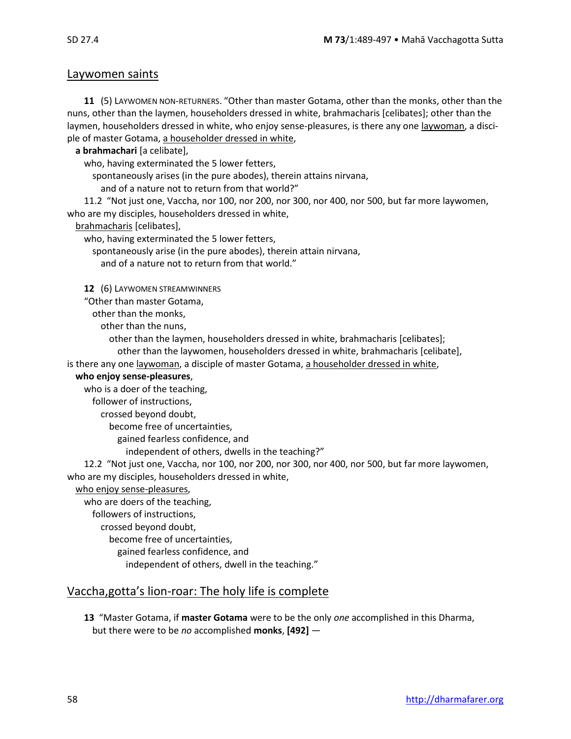### Laywomen saints

**11** (5) LAYWOMEN NON-RETURNERS. "Other than master Gotama, other than the monks, other than the nuns, other than the laymen, householders dressed in white, brahmacharis [celibates]; other than the laymen, householders dressed in white, who enjoy sense-pleasures, is there any one laywoman, a disciple of master Gotama, a householder dressed in white,

**a brahmachari** [a celibate],

who, having exterminated the 5 lower fetters,

spontaneously arises (in the pure abodes), therein attains nirvana,

and of a nature not to return from that world?"

11.2 "Not just one, Vaccha, nor 100, nor 200, nor 300, nor 400, nor 500, but far more laywomen, who are my disciples, householders dressed in white,

brahmacharis [celibates],

who, having exterminated the 5 lower fetters,

spontaneously arise (in the pure abodes), therein attain nirvana,

and of a nature not to return from that world."

**12** (6) LAYWOMEN STREAMWINNERS

"Other than master Gotama,

other than the monks,

other than the nuns,

other than the laymen, householders dressed in white, brahmacharis [celibates]; other than the laywomen, householders dressed in white, brahmacharis [celibate],

is there any one laywoman, a disciple of master Gotama, a householder dressed in white,

#### **who enjoy sense-pleasures**,

who is a doer of the teaching,

follower of instructions,

crossed beyond doubt,

become free of uncertainties,

gained fearless confidence, and

independent of others, dwells in the teaching?"

12.2 "Not just one, Vaccha, nor 100, nor 200, nor 300, nor 400, nor 500, but far more laywomen, who are my disciples, householders dressed in white,

who enjoy sense-pleasures,

who are doers of the teaching, followers of instructions, crossed beyond doubt, become free of uncertainties, gained fearless confidence, and independent of others, dwell in the teaching."

## Vaccha,gotta's lion-roar: The holy life is complete

**13** "Master Gotama, if **master Gotama** were to be the only *one* accomplished in this Dharma, but there were to be *no* accomplished **monks**, **[492]** —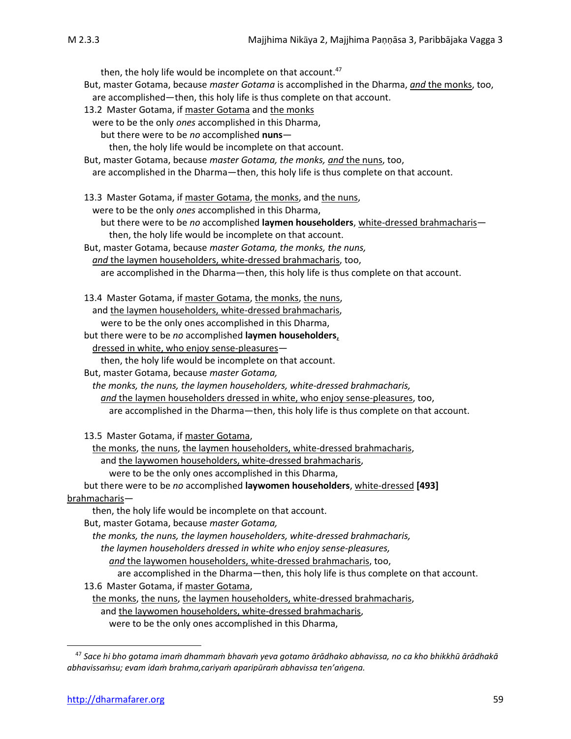then, the holy life would be incomplete on that account.<sup>47</sup> But, master Gotama, because *master Gotama* is accomplished in the Dharma, *and* the monks, too, are accomplished—then, this holy life is thus complete on that account. 13.2 Master Gotama, if master Gotama and the monks were to be the only *ones* accomplished in this Dharma, but there were to be *no* accomplished **nuns** then, the holy life would be incomplete on that account. But, master Gotama, because *master Gotama, the monks, and* the nuns, too, are accomplished in the Dharma—then, this holy life is thus complete on that account. 13.3 Master Gotama, if master Gotama, the monks, and the nuns, were to be the only *ones* accomplished in this Dharma, but there were to be *no* accomplished **laymen householders**, white-dressed brahmacharis then, the holy life would be incomplete on that account. But, master Gotama, because *master Gotama, the monks, the nuns, and* the laymen householders, white-dressed brahmacharis, too, are accomplished in the Dharma—then, this holy life is thus complete on that account. 13.4 Master Gotama, if master Gotama, the monks, the nuns, and the laymen householders, white-dressed brahmacharis, were to be the only ones accomplished in this Dharma, but there were to be *no* accomplished **laymen householders**, dressed in white, who enjoy sense-pleasures then, the holy life would be incomplete on that account. But, master Gotama, because *master Gotama, the monks, the nuns, the laymen householders, white-dressed brahmacharis, and* the laymen householders dressed in white, who enjoy sense-pleasures, too, are accomplished in the Dharma—then, this holy life is thus complete on that account. 13.5 Master Gotama, if master Gotama, the monks, the nuns, the laymen householders, white-dressed brahmacharis, and the laywomen householders, white-dressed brahmacharis, were to be the only ones accomplished in this Dharma, but there were to be *no* accomplished **laywomen householders**, white-dressed **[493]** brahmacharis then, the holy life would be incomplete on that account. But, master Gotama, because *master Gotama, the monks, the nuns, the laymen householders, white-dressed brahmacharis, the laymen householders dressed in white who enjoy sense-pleasures, and* the laywomen householders, white-dressed brahmacharis, too, are accomplished in the Dharma—then, this holy life is thus complete on that account. 13.6 Master Gotama, if master Gotama, the monks, the nuns, the laymen householders, white-dressed brahmacharis, and the laywomen householders, white-dressed brahmacharis, were to be the only ones accomplished in this Dharma,

<sup>47</sup> *Sace hi bho gotama imaṁ dhammaṁ bhavaṁ yeva gotamo ārādhako abhavissa, no ca kho bhikkhū ārādhakā abhavissaṁsu; evam idaṁ brahma,cariyaṁ aparipūraṁ abhavissa ten'aṅgena.*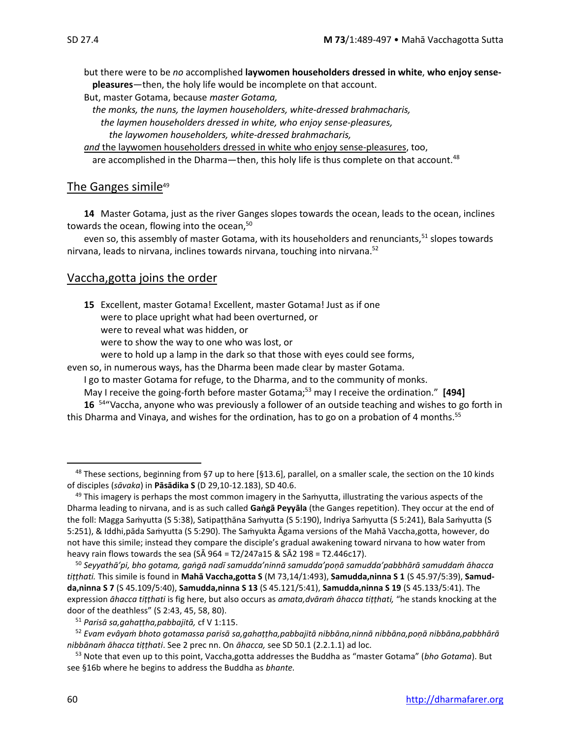but there were to be *no* accomplished **laywomen householders dressed in white**, **who enjoy sensepleasures**—then, the holy life would be incomplete on that account.

But, master Gotama, because *master Gotama,* 

*the monks, the nuns, the laymen householders, white-dressed brahmacharis, the laymen householders dressed in white, who enjoy sense-pleasures, the laywomen householders, white-dressed brahmacharis,* 

*and* the laywomen householders dressed in white who enjoy sense-pleasures, too, are accomplished in the Dharma—then, this holy life is thus complete on that account.<sup>48</sup>

## The Ganges simile<sup>49</sup>

**14** Master Gotama, just as the river Ganges slopes towards the ocean, leads to the ocean, inclines towards the ocean, flowing into the ocean,<sup>50</sup>

even so, this assembly of master Gotama, with its householders and renunciants,<sup>51</sup> slopes towards nirvana, leads to nirvana, inclines towards nirvana, touching into nirvana.<sup>52</sup>

## Vaccha,gotta joins the order

- **15** Excellent, master Gotama! Excellent, master Gotama! Just as if one were to place upright what had been overturned, or
	- were to reveal what was hidden, or

were to show the way to one who was lost, or

were to hold up a lamp in the dark so that those with eyes could see forms,

even so, in numerous ways, has the Dharma been made clear by master Gotama.

I go to master Gotama for refuge, to the Dharma, and to the community of monks.

May I receive the going-forth before master Gotama; <sup>53</sup> may I receive the ordination." **[494]**

16 <sup>54</sup> "Vaccha, anyone who was previously a follower of an outside teaching and wishes to go forth in this Dharma and Vinaya, and wishes for the ordination, has to go on a probation of 4 months.<sup>55</sup>

<sup>&</sup>lt;sup>48</sup> These sections, beginning from §7 up to here [§13.6], parallel, on a smaller scale, the section on the 10 kinds of disciples (*sāvaka*) in **Pāsādika S** (D 29,10-12.183), SD 40.6.

 $49$  This imagery is perhaps the most common imagery in the Samyutta, illustrating the various aspects of the Dharma leading to nirvana, and is as such called **Gaṅgā Peyyāla** (the Ganges repetition). They occur at the end of the foll: Magga Saṁyutta (S 5:38), Satipaṭṭhāna Saṁyutta (S 5:190), Indriya Saṁyutta (S 5:241), Bala Saṁyutta (S 5:251), & Iddhi,pāda Saṁyutta (S 5:290). The Saṁyukta Āgama versions of the Mahā Vaccha,gotta, however, do not have this simile; instead they compare the disciple's gradual awakening toward nirvana to how water from heavy rain flows towards the sea ( $S\bar{A}$  964 = T2/247a15 &  $S\bar{A}$ 2 198 = T2.446c17).

<sup>50</sup> *Seyyathā'pi, bho gotama, gaṅgā nadī samudda'ninnā samudda'poṇā samudda'pabbhārā samuddaṁ āhacca tiṭṭhati.* This simile is found in **Mahā Vaccha,gotta S** (M 73,14/1:493), **Samudda,ninna S 1** (S 45.97/5:39), **Samudda,ninna S 7** (S 45.109/5:40), **Samudda,ninna S 13** (S 45.121/5:41), **Samudda,ninna S 19** (S 45.133/5:41). The expression *āhacca tiṭṭhati* is fig here, but also occurs as *amata,dvāraṁ āhacca tiṭṭhati,* "he stands knocking at the door of the deathless" (S 2:43, 45, 58, 80).

<sup>51</sup> *Parisā sa,gahaṭṭha,pabbajitā,* cf V 1:115.

<sup>52</sup> *Evam evâyaṁ bhoto gotamassa parisā sa,gahaṭṭha,pabbajitā nibbāna,ninnā nibbāna,poṇā nibbāna,pabbhārā nibbānaṁ āhacca tiṭṭhati*. See 2 prec nn. On *āhacca,* see SD 50.1 (2.2.1.1) ad loc.

<sup>53</sup> Note that even up to this point, Vaccha,gotta addresses the Buddha as "master Gotama" (*bho Gotama*). But see §16b where he begins to address the Buddha as *bhante.*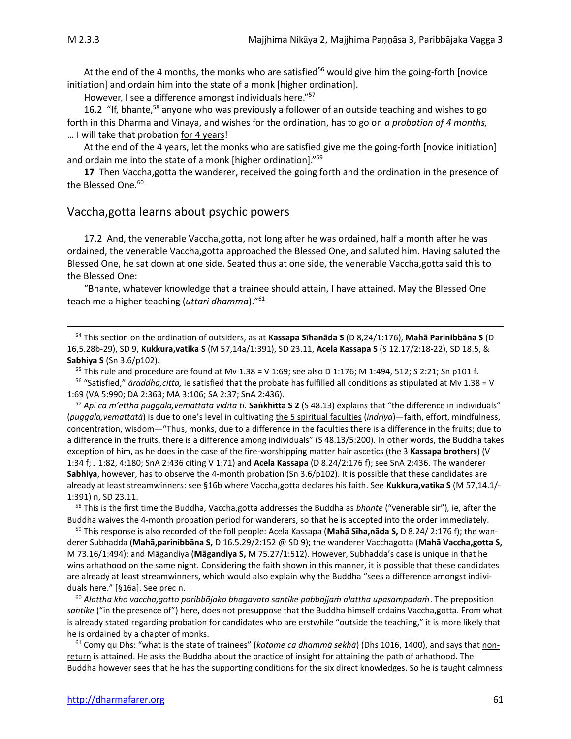At the end of the 4 months, the monks who are satisfied<sup>56</sup> would give him the going-forth [novice initiation] and ordain him into the state of a monk [higher ordination].

However, I see a difference amongst individuals here."<sup>57</sup>

16.2 "If, bhante,<sup>58</sup> anyone who was previously a follower of an outside teaching and wishes to go forth in this Dharma and Vinaya, and wishes for the ordination, has to go on *a probation of 4 months,* … I will take that probation for 4 years!

At the end of the 4 years, let the monks who are satisfied give me the going-forth [novice initiation] and ordain me into the state of a monk [higher ordination]."<sup>59</sup>

**17** Then Vaccha,gotta the wanderer, received the going forth and the ordination in the presence of the Blessed One. 60

#### Vaccha,gotta learns about psychic powers

17.2 And, the venerable Vaccha,gotta, not long after he was ordained, half a month after he was ordained, the venerable Vaccha,gotta approached the Blessed One, and saluted him. Having saluted the Blessed One, he sat down at one side. Seated thus at one side, the venerable Vaccha,gotta said this to the Blessed One:

"Bhante, whatever knowledge that a trainee should attain, I have attained. May the Blessed One teach me a higher teaching (*uttari dhamma*)."<sup>61</sup>

<sup>54</sup> This section on the ordination of outsiders, as at **Kassapa Shanāda S** (D 8,24/1:176), **Mahā Parinibbāna S** (D 16,5.28b-29), SD 9, **Kukkura,vatika S** (M 57,14a/1:391), SD 23.11, **Acela Kassapa S** (S 12.17/2:18-22), SD 18.5, & **Sabhiya S** (Sn 3.6/p102).

<sup>55</sup> This rule and procedure are found at Mv 1.38 = V 1:69; see also D 1:176; M 1:494, 512; S 2:21; Sn p101 f.

<sup>56</sup> "Satisfied," *āraddha,citta,* ie satisfied that the probate has fulfilled all conditions as stipulated at Mv 1.38 = V 1:69 (VA 5:990; DA 2:363; MA 3:106; SA 2:37; SnA 2:436).

<sup>57</sup> *Api ca m'ettha puggala,vemattatā viditā ti.* **Sakhitta S 2** (S 48.13) explains that "the difference in individuals" (*puggala,vemattatā*) is due to one's level in cultivating the 5 spiritual faculties (*indriya*)—faith, effort, mindfulness, concentration, wisdom—"Thus, monks, due to a difference in the faculties there is a difference in the fruits; due to a difference in the fruits, there is a difference among individuals" (S 48.13/5:200). In other words, the Buddha takes exception of him, as he does in the case of the fire-worshipping matter hair ascetics (the 3 **Kassapa brothers**) (V 1:34 f; J 1:82, 4:180; SnA 2:436 citing V 1:71) and **Acela Kassapa** (D 8.24/2:176 f); see SnA 2:436. The wanderer **Sabhiya**, however, has to observe the 4-month probation (Sn 3.6/p102). It is possible that these candidates are already at least streamwinners: see §16b where Vaccha,gotta declares his faith. See **Kukkura,vatika S** (M 57,14.1/- 1:391) n, SD 23.11.

<sup>58</sup> This is the first time the Buddha, Vaccha,gotta addresses the Buddha as *bhante* ("venerable sir")*,* ie, after the Buddha waives the 4-month probation period for wanderers, so that he is accepted into the order immediately.

<sup>59</sup> This response is also recorded of the foll people: Acela Kassapa (**Mahā Sīha,nāda S,** D 8.24/ 2:176 f); the wanderer Subhadda (**Mahā,parinibbāna S,** D 16.5.29/2:152 @ SD 9); the wanderer Vacchagotta (**Mahā Vaccha,gotta S,** M 73.16/1:494); and Māgandiya (**Māgandiya S,** M 75.27/1:512). However, Subhadda's case is unique in that he wins arhathood on the same night. Considering the faith shown in this manner, it is possible that these candidates are already at least streamwinners, which would also explain why the Buddha "sees a difference amongst individuals here." [§16a]. See prec n.

<sup>60</sup> *Alattha kho vaccha,gotto paribbājako bhagavato santike pabbajjaṁ alattha upasampadaṁ*. The preposition *santike* ("in the presence of") here, does not presuppose that the Buddha himself ordains Vaccha,gotta. From what is already stated regarding probation for candidates who are erstwhile "outside the teaching," it is more likely that he is ordained by a chapter of monks.

<sup>61</sup> Comy qu Dhs: "what is the state of trainees" (*katame ca dhammā sekhā*) (Dhs 1016, 1400), and says that nonreturn is attained. He asks the Buddha about the practice of insight for attaining the path of arhathood. The Buddha however sees that he has the supporting conditions for the six direct knowledges. So he is taught calmness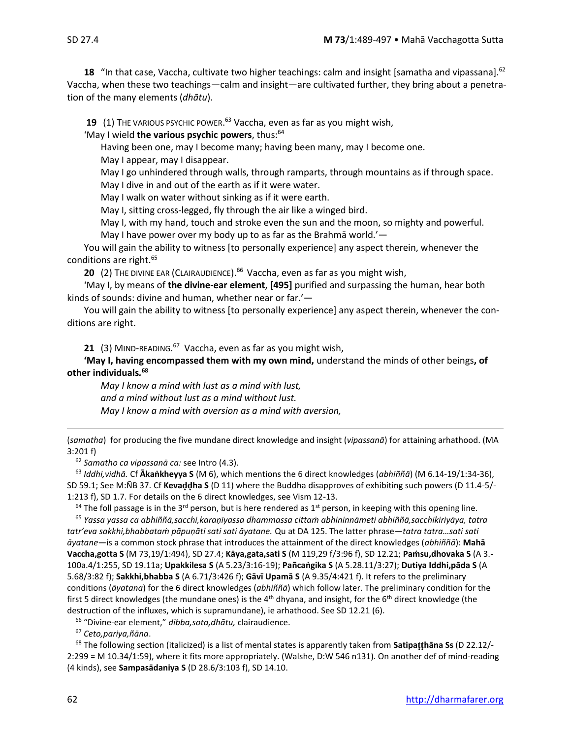**18** "In that case, Vaccha, cultivate two higher teachings: calm and insight [samatha and vipassana].<sup>62</sup> Vaccha, when these two teachings—calm and insight—are cultivated further, they bring about a penetration of the many elements (*dhātu*).

**19** (1) THE VARIOUS PSYCHIC POWER. <sup>63</sup> Vaccha, even as far as you might wish,

'May I wield **the various psychic powers**, thus:<sup>64</sup>

Having been one, may I become many; having been many, may I become one.

May I appear, may I disappear.

May I go unhindered through walls, through ramparts, through mountains as if through space. May I dive in and out of the earth as if it were water.

May I walk on water without sinking as if it were earth.

May I, sitting cross-legged, fly through the air like a winged bird.

May I, with my hand, touch and stroke even the sun and the moon, so mighty and powerful. May I have power over my body up to as far as the Brahmā world.'—

You will gain the ability to witness [to personally experience] any aspect therein, whenever the conditions are right.<sup>65</sup>

**20** (2) THE DIVINE EAR (CLAIRAUDIENCE).<sup>66</sup> Vaccha, even as far as you might wish,

'May I, by means of **the divine-ear element**, **[495]** purified and surpassing the human, hear both kinds of sounds: divine and human, whether near or far.'—

You will gain the ability to witness [to personally experience] any aspect therein, whenever the conditions are right.

21 (3) MIND-READING.<sup>67</sup> Vaccha, even as far as you might wish,

**'May I, having encompassed them with my own mind,** understand the minds of other beings**, of other individuals***.* **68**

*May I know a mind with lust as a mind with lust, and a mind without lust as a mind without lust. May I know a mind with aversion as a mind with aversion,* 

(*samatha*) for producing the five mundane direct knowledge and insight (*vipassanā*) for attaining arhathood. (MA 3:201 f)

<sup>62</sup> *Samatho ca vipassanā ca:* see Intro (4.3).

<sup>63</sup> *Iddhi,vidhā.* Cf **Ākaṅkheyya S** (M 6), which mentions the 6 direct knowledges (*abhiññā*) (M 6.14-19/1:34-36), SD 59.1; See M:ÑB 37. Cf **Kevaha S** (D 11) where the Buddha disapproves of exhibiting such powers (D 11.4-5/- 1:213 f), SD 1.7. For details on the 6 direct knowledges, see Vism 12-13.

 $64$  The foll passage is in the 3<sup>rd</sup> person, but is here rendered as 1<sup>st</sup> person, in keeping with this opening line.

<sup>65</sup> *Yassa yassa ca abhiññā,sacchi,karaṇīyassa dhammassa cittaṁ abhininnāmeti abhiññā,sacchikiriyāya, tatra tatr'eva sakkhi,bhabbataṁ pāpuṇāti sati sati āyatane.* Qu at DA 125. The latter phrase—*tatra tatra…sati sati āyatane*—is a common stock phrase that introduces the attainment of the direct knowledges (*abhiññā*): **Mahā Vaccha,gotta S** (M 73,19/1:494), SD 27.4; **Kāya,gata,sati S** (M 119,29 f/3:96 f), SD 12.21; **Paṁsu,dhovaka S** (A 3.- 100a.4/1:255, SD 19.11a; **Upakkilesa S** (A 5.23/3:16-19); **Pañcaṅgika S** (A 5.28.11/3:27); **Dutiya Iddhi,pāda S** (A 5.68/3:82 f); **Sakkhi,bhabba S** (A 6.71/3:426 f); **Gāvī Upamā S** (A 9.35/4:421 f). It refers to the preliminary conditions (*āyatana*) for the 6 direct knowledges (*abhiññā*) which follow later. The preliminary condition for the first 5 direct knowledges (the mundane ones) is the  $4<sup>th</sup>$  dhyana, and insight, for the  $6<sup>th</sup>$  direct knowledge (the destruction of the influxes, which is supramundane), ie arhathood. See SD 12.21 (6).

<sup>66</sup> "Divine-ear element," *dibba,sota,dhātu,* clairaudience.

<sup>67</sup> *Ceto,pariya,ñāna*.

<sup>68</sup> The following section (italicized) is a list of mental states is apparently taken from **Satipahāna Ss** (D 22.12/- 2:299 = M 10.34/1:59), where it fits more appropriately. (Walshe, D:W 546 n131). On another def of mind-reading (4 kinds), see **Sampasādaniya S** (D 28.6/3:103 f), SD 14.10.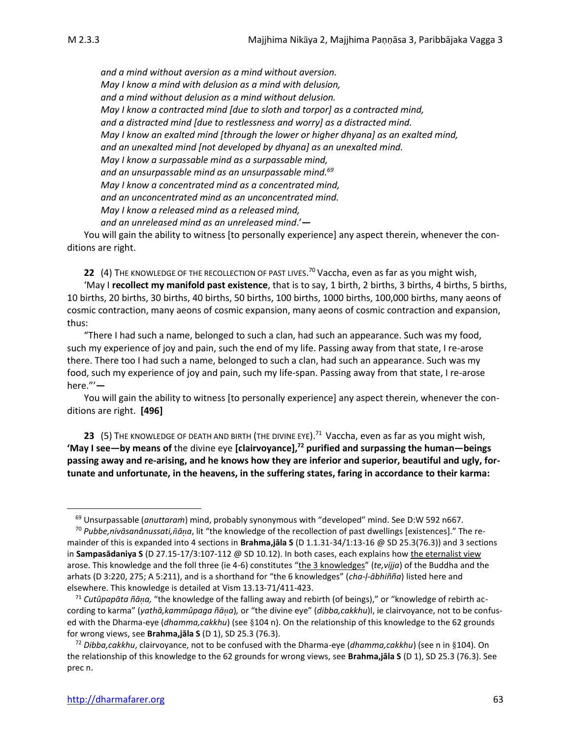*and a mind without aversion as a mind without aversion. May I know a mind with delusion as a mind with delusion, and a mind without delusion as a mind without delusion. May I know a contracted mind [due to sloth and torpor] as a contracted mind, and a distracted mind [due to restlessness and worry] as a distracted mind. May I know an exalted mind [through the lower or higher dhyana] as an exalted mind, and an unexalted mind [not developed by dhyana] as an unexalted mind. May I know a surpassable mind as a surpassable mind, and an unsurpassable mind as an unsurpassable mind. 69 May I know a concentrated mind as a concentrated mind, and an unconcentrated mind as an unconcentrated mind. May I know a released mind as a released mind, and an unreleased mind as an unreleased mind*.'**—**

You will gain the ability to witness [to personally experience] any aspect therein, whenever the conditions are right.

**22** (4) THE KNOWLEDGE OF THE RECOLLECTION OF PAST LIVES. <sup>70</sup> Vaccha, even as far as you might wish,

'May I **recollect my manifold past existence**, that is to say, 1 birth, 2 births, 3 births, 4 births, 5 births, 10 births, 20 births, 30 births, 40 births, 50 births, 100 births, 1000 births, 100,000 births, many aeons of cosmic contraction, many aeons of cosmic expansion, many aeons of cosmic contraction and expansion, thus:

"There I had such a name, belonged to such a clan, had such an appearance. Such was my food, such my experience of joy and pain, such the end of my life. Passing away from that state, I re-arose there. There too I had such a name, belonged to such a clan, had such an appearance. Such was my food, such my experience of joy and pain, such my life-span. Passing away from that state, I re-arose here."'**—**

You will gain the ability to witness [to personally experience] any aspect therein, whenever the conditions are right. **[496]**

**23** (5) THE KNOWLEDGE OF DEATH AND BIRTH (THE DIVINE EYE).<sup>71</sup> Vaccha, even as far as you might wish, **'May I see—by means of** the divine eye **[clairvoyance],<sup>72</sup> purified and surpassing the human—beings passing away and re-arising, and he knows how they are inferior and superior, beautiful and ugly, fortunate and unfortunate, in the heavens, in the suffering states, faring in accordance to their karma:** 

<sup>69</sup> Unsurpassable (*anuttaraṁ*) mind, probably synonymous with "developed" mind. See D:W 592 n667.

<sup>70</sup> *Pubbe,nivāsanânussati,āa*, lit "the knowledge of the recollection of past dwellings [existences]." The remainder of this is expanded into 4 sections in **Brahma,jāla S** (D 1.1.31-34/1:13-16 @ SD 25.3(76.3)) and 3 sections in **Sampasādaniya S** (D 27.15-17/3:107-112 @ SD 10.12). In both cases, each explains how the eternalist view arose. This knowledge and the foll three (ie 4-6) constitutes "the 3 knowledges" (*te,vijja*) of the Buddha and the arhats (D 3:220, 275; A 5:211), and is a shorthand for "the 6 knowledges" (*cha-ḷ-ābhiñña*) listed here and elsewhere. This knowledge is detailed at Vism 13.13-71/411-423.

<sup>71</sup> *Cutûpapāta ñāa,* "the knowledge of the falling away and rebirth (of beings)," or "knowledge of rebirth according to karma" (*yathā,kammûpaga ñāa*)*,* or "the divine eye" (*dibba,cakkhu*)l, ie clairvoyance, not to be confused with the Dharma-eye (*dhamma,cakkhu*) (see §104 n). On the relationship of this knowledge to the 62 grounds for wrong views, see **Brahma,jāla S** (D 1), SD 25.3 (76.3).

<sup>72</sup> *Dibba,cakkhu*, clairvoyance, not to be confused with the Dharma-eye (*dhamma,cakkhu*) (see n in 104). On the relationship of this knowledge to the 62 grounds for wrong views, see **Brahma,jāla S** (D 1), SD 25.3 (76.3). See prec n.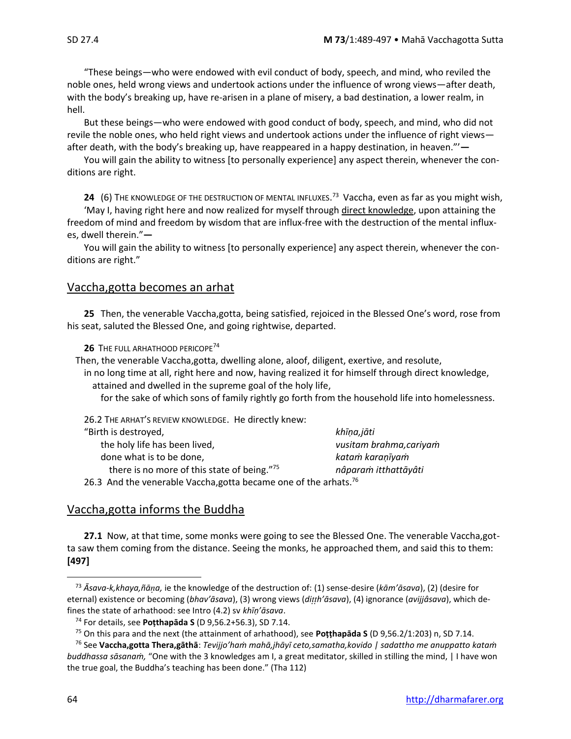"These beings—who were endowed with evil conduct of body, speech, and mind, who reviled the noble ones, held wrong views and undertook actions under the influence of wrong views—after death, with the body's breaking up, have re-arisen in a plane of misery, a bad destination, a lower realm, in hell.

But these beings—who were endowed with good conduct of body, speech, and mind, who did not revile the noble ones, who held right views and undertook actions under the influence of right views after death, with the body's breaking up, have reappeared in a happy destination, in heaven."'**—**

You will gain the ability to witness [to personally experience] any aspect therein, whenever the conditions are right.

**24** (6) THE KNOWLEDGE OF THE DESTRUCTION OF MENTAL INFLUXES. <sup>73</sup> Vaccha, even as far as you might wish,

'May I, having right here and now realized for myself through direct knowledge, upon attaining the freedom of mind and freedom by wisdom that are influx-free with the destruction of the mental influxes, dwell therein."**—**

You will gain the ability to witness [to personally experience] any aspect therein, whenever the conditions are right."

## Vaccha,gotta becomes an arhat

**25** Then, the venerable Vaccha,gotta, being satisfied, rejoiced in the Blessed One's word, rose from his seat, saluted the Blessed One, and going rightwise, departed.

**26** THE FULL ARHATHOOD PERICOPE<sup>74</sup>

Then, the venerable Vaccha,gotta, dwelling alone, aloof, diligent, exertive, and resolute,

in no long time at all, right here and now, having realized it for himself through direct knowledge, attained and dwelled in the supreme goal of the holy life,

for the sake of which sons of family rightly go forth from the household life into homelessness.

26.2 THE ARHAT'S REVIEW KNOWLEDGE. He directly knew:

| "Birth is destroyed,                                                         | khīņa,jāti              |
|------------------------------------------------------------------------------|-------------------------|
| the holy life has been lived,                                                | vusitam brahma, cariyam |
| done what is to be done,                                                     | katam karanīyam         |
| there is no more of this state of being."75                                  | nâparam itthattāyâti    |
| 26.3 And the venerable Vaccha, gotta became one of the arhats. <sup>76</sup> |                         |

## Vaccha,gotta informs the Buddha

**27.1** Now, at that time, some monks were going to see the Blessed One. The venerable Vaccha,gotta saw them coming from the distance. Seeing the monks, he approached them, and said this to them: **[497]**

<sup>73</sup> *Āsava-k,khaya,ñāa,* ie the knowledge of the destruction of: (1) sense-desire (*kām'āsava*), (2) (desire for eternal) existence or becoming (*bhav'āsava*), (3) wrong views (*dih'āsava*), (4) ignorance (*avijjâsava*), which defines the state of arhathood: see Intro (4.2) sv *khīṇ'āsava*.

<sup>74</sup> For details, see **Poṭthapāda S** (D 9,56.2+56.3), SD 7.14.

<sup>75</sup> On this para and the next (the attainment of arhathood), see **Poṭṭhapāda S** (D 9,56.2/1:203) n, SD 7.14.

<sup>76</sup> See **Vaccha,gotta Thera,gāthā**: *Tevijjo'haṁ mahā,jhāyī ceto,samatha,kovido | sadattho me anuppatto kataṁ buddhassa sāsanaṁ,* "One with the 3 knowledges am I, a great meditator, skilled in stilling the mind, | I have won the true goal, the Buddha's teaching has been done." (Tha 112)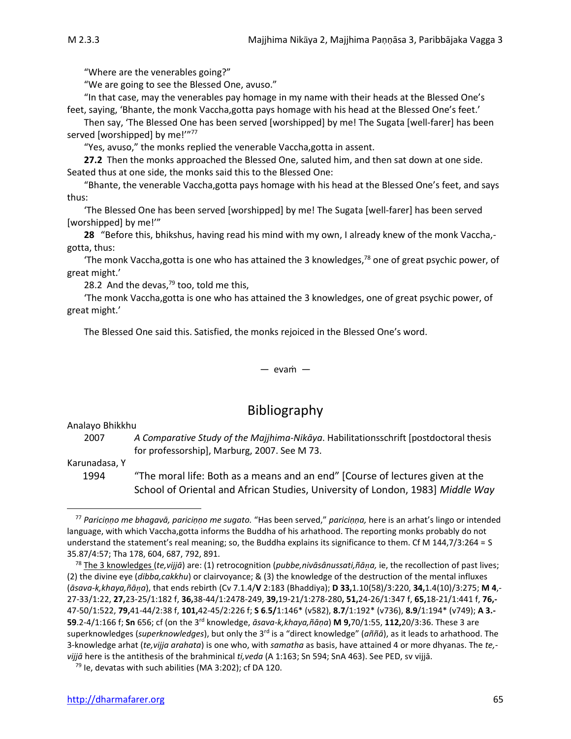"Where are the venerables going?"

"We are going to see the Blessed One, avuso."

"In that case, may the venerables pay homage in my name with their heads at the Blessed One's feet, saying, 'Bhante, the monk Vaccha,gotta pays homage with his head at the Blessed One's feet.'

Then say, 'The Blessed One has been served [worshipped] by me! The Sugata [well-farer] has been served [worshipped] by me!"77

"Yes, avuso," the monks replied the venerable Vaccha,gotta in assent.

**27.2** Then the monks approached the Blessed One, saluted him, and then sat down at one side. Seated thus at one side, the monks said this to the Blessed One:

"Bhante, the venerable Vaccha,gotta pays homage with his head at the Blessed One's feet, and says thus:

'The Blessed One has been served [worshipped] by me! The Sugata [well-farer] has been served [worshipped] by me!'"

**28** "Before this, bhikshus, having read his mind with my own, I already knew of the monk Vaccha, gotta, thus:

The monk Vaccha, gotta is one who has attained the 3 knowledges, $78$  one of great psychic power, of great might.'

28.2 And the devas, $79$  too, told me this,

'The monk Vaccha,gotta is one who has attained the 3 knowledges, one of great psychic power, of great might.'

The Blessed One said this. Satisfied, the monks rejoiced in the Blessed One's word.

#### — evaṁ —

## Bibliography

Analayo Bhikkhu

2007 *A Comparative Study of the Majjhima-Nikāya*. Habilitationsschrift [postdoctoral thesis for professorship], Marburg, 2007. See M 73.

Karunadasa, Y

1994 "The moral life: Both as a means and an end" [Course of lectures given at the School of Oriental and African Studies, University of London, 1983] *Middle Way*

<sup>77</sup> *Pariciṇṇo me bhagavā, pariciṇṇo me sugato.* "Has been served," *pariciṇṇa,* here is an arhat's lingo or intended language, with which Vaccha,gotta informs the Buddha of his arhathood. The reporting monks probably do not understand the statement's real meaning; so, the Buddha explains its significance to them. Cf M 144,7/3:264 = S 35.87/4:57; Tha 178, 604, 687, 792, 891.

<sup>&</sup>lt;sup>78</sup> The 3 knowledges (*te,vijjā*) are: (1) retrocognition (*pubbe,nivāsânussati,ñāṇa,* ie, the recollection of past lives; (2) the divine eye (*dibba,cakkhu*) or clairvoyance; & (3) the knowledge of the destruction of the mental influxes (*āsava-k,khaya,ñāa*), that ends rebirth (Cv 7.1.4/**V** 2:183 (Bhaddiya); **D 33,**1.10(58)/3:220, **34,**1.4(10)/3:275; **M 4**,- 27-33/1:22, **27,**23-25/1:182 f, **36,**38-44/1:2478-249, **39,**19-21/1:278-280**, 51,**24-26/1:347 f, **65,**18-21/1:441 f, **76,-** 47-50/1:522, **79,**41-44/2:38 f, **101,**42-45/2:226 f; **S 6**.**5/**1:146\* (v582), **8.7**/1:192\* (v736), **8.9**/1:194\* (v749); **A 3.- 59**.2-4/1:166 f; **Sn** 656; cf (on the 3rd knowledge, *āsava-k,khaya,ñāṇa*) **M 9,**70/1:55, **112,**20/3:36. These 3 are superknowledges (*superknowledges*), but only the 3rd is a "direct knowledge" (*aññā*), as it leads to arhathood. The 3-knowledge arhat (*te,vijja arahata*) is one who, with *samatha* as basis, have attained 4 or more dhyanas. The *te, vijjā* here is the antithesis of the brahminical *ti,veda* (A 1:163; Sn 594; SnA 463). See PED, sv vijjā.

 $79$  Ie, devatas with such abilities (MA 3:202); cf DA 120.